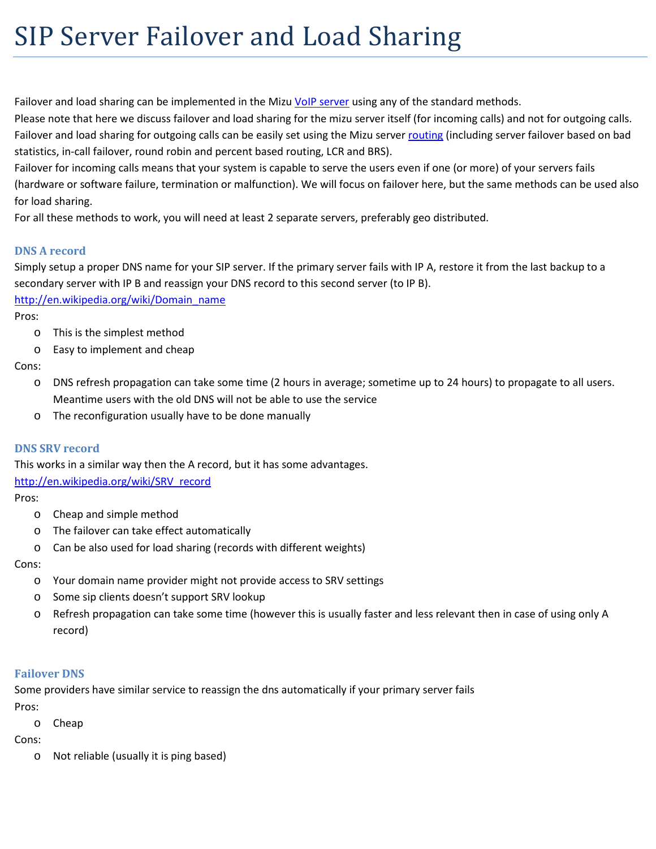# SIP Server Failover and Load Sharing

Failover and load sharing can be implemented in the Mizu [VoIP server](http://www.mizu-voip.com/Software/VoIPServer.aspx) using any of the standard methods.

Please note that here we discuss failover and load sharing for the mizu server itself (for incoming calls) and not for outgoing calls. Failover and load sharing for outgoing calls can be easily set using the Mizu server [routing](http://www.mizu-voip.com/Portals/0/Files/Routing_guide.pdf) (including server failover based on bad statistics, in-call failover, round robin and percent based routing, LCR and BRS).

Failover for incoming calls means that your system is capable to serve the users even if one (or more) of your servers fails (hardware or software failure, termination or malfunction). We will focus on failover here, but the same methods can be used also for load sharing.

For all these methods to work, you will need at least 2 separate servers, preferably geo distributed.

## **DNS A record**

Simply setup a proper DNS name for your SIP server. If the primary server fails with IP A, restore it from the last backup to a secondary server with IP B and reassign your DNS record to this second server (to IP B).

[http://en.wikipedia.org/wiki/Domain\\_name](http://en.wikipedia.org/wiki/Domain_name)

Pros:

- o This is the simplest method
- o Easy to implement and cheap

Cons:

- o DNS refresh propagation can take some time (2 hours in average; sometime up to 24 hours) to propagate to all users. Meantime users with the old DNS will not be able to use the service
- o The reconfiguration usually have to be done manually

#### **DNS SRV record**

This works in a similar way then the A record, but it has some advantages. [http://en.wikipedia.org/wiki/SRV\\_record](http://en.wikipedia.org/wiki/SRV_record)

Pros:

- o Cheap and simple method
- o The failover can take effect automatically
- o Can be also used for load sharing (records with different weights)

Cons:

- o Your domain name provider might not provide access to SRV settings
- o Some sip clients doesn't support SRV lookup
- o Refresh propagation can take some time (however this is usually faster and less relevant then in case of using only A record)

#### **Failover DNS**

Some providers have similar service to reassign the dns automatically if your primary server fails

Pros:

o Cheap

Cons:

o Not reliable (usually it is ping based)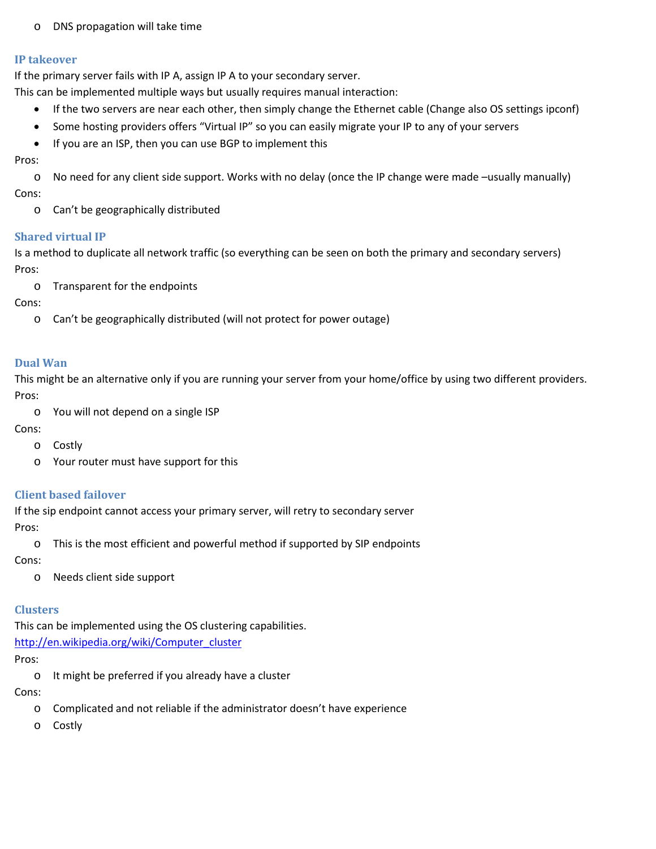o DNS propagation will take time

#### **IP takeover**

If the primary server fails with IP A, assign IP A to your secondary server.

This can be implemented multiple ways but usually requires manual interaction:

- If the two servers are near each other, then simply change the Ethernet cable (Change also OS settings ipconf)
- Some hosting providers offers "Virtual IP" so you can easily migrate your IP to any of your servers
- If you are an ISP, then you can use BGP to implement this

Pros:

o No need for any client side support. Works with no delay (once the IP change were made –usually manually) Cons:

o Can't be geographically distributed

#### **Shared virtual IP**

Is a method to duplicate all network traffic (so everything can be seen on both the primary and secondary servers) Pros:

o Transparent for the endpoints

Cons:

o Can't be geographically distributed (will not protect for power outage)

## **Dual Wan**

This might be an alternative only if you are running your server from your home/office by using two different providers. Pros:

o You will not depend on a single ISP

Cons:

- o Costly
- o Your router must have support for this

## **Client based failover**

If the sip endpoint cannot access your primary server, will retry to secondary server

Pros:

o This is the most efficient and powerful method if supported by SIP endpoints

Cons:

o Needs client side support

#### **Clusters**

This can be implemented using the OS clustering capabilities.

[http://en.wikipedia.org/wiki/Computer\\_cluster](http://en.wikipedia.org/wiki/Computer_cluster)

Pros:

o It might be preferred if you already have a cluster

Cons:

- o Complicated and not reliable if the administrator doesn't have experience
- o Costly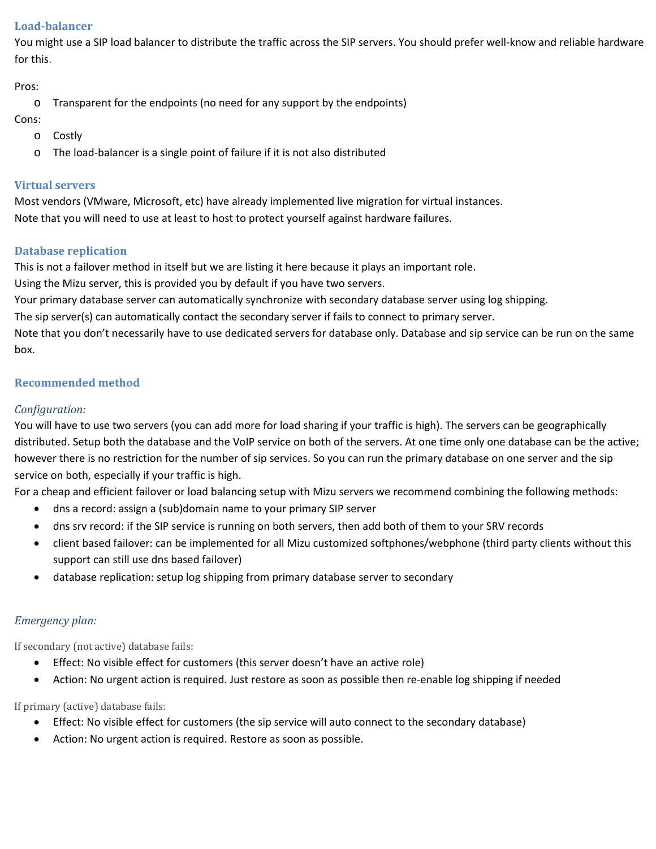### **Load-balancer**

You might use a SIP load balancer to distribute the traffic across the SIP servers. You should prefer well-know and reliable hardware for this.

Pros:

o Transparent for the endpoints (no need for any support by the endpoints)

Cons:

- o Costly
- o The load-balancer is a single point of failure if it is not also distributed

## **Virtual servers**

Most vendors (VMware, Microsoft, etc) have already implemented live migration for virtual instances. Note that you will need to use at least to host to protect yourself against hardware failures.

## **Database replication**

This is not a failover method in itself but we are listing it here because it plays an important role.

Using the Mizu server, this is provided you by default if you have two servers.

Your primary database server can automatically synchronize with secondary database server using log shipping.

The sip server(s) can automatically contact the secondary server if fails to connect to primary server.

Note that you don't necessarily have to use dedicated servers for database only. Database and sip service can be run on the same box.

# **Recommended method**

## *Configuration:*

You will have to use two servers (you can add more for load sharing if your traffic is high). The servers can be geographically distributed. Setup both the database and the VoIP service on both of the servers. At one time only one database can be the active; however there is no restriction for the number of sip services. So you can run the primary database on one server and the sip service on both, especially if your traffic is high.

For a cheap and efficient failover or load balancing setup with Mizu servers we recommend combining the following methods:

- dns a record: assign a (sub)domain name to your primary SIP server
- dns srv record: if the SIP service is running on both servers, then add both of them to your SRV records
- client based failover: can be implemented for all Mizu customized softphones/webphone (third party clients without this support can still use dns based failover)
- database replication: setup log shipping from primary database server to secondary

## *Emergency plan:*

If secondary (not active) database fails:

- Effect: No visible effect for customers (this server doesn't have an active role)
- Action: No urgent action is required. Just restore as soon as possible then re-enable log shipping if needed

If primary (active) database fails:

- Effect: No visible effect for customers (the sip service will auto connect to the secondary database)
- Action: No urgent action is required. Restore as soon as possible.